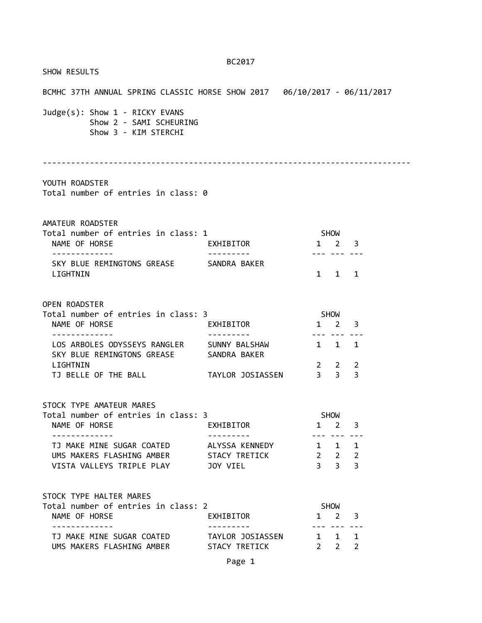|                                                                                                                           | BC2017                 |                                                                   |                             |                                   |  |
|---------------------------------------------------------------------------------------------------------------------------|------------------------|-------------------------------------------------------------------|-----------------------------|-----------------------------------|--|
| SHOW RESULTS                                                                                                              |                        |                                                                   |                             |                                   |  |
| BCMHC 37TH ANNUAL SPRING CLASSIC HORSE SHOW 2017   06/10/2017 - 06/11/2017                                                |                        |                                                                   |                             |                                   |  |
| Judge(s): Show 1 - RICKY EVANS<br>Show 2 - SAMI SCHEURING<br>Show 3 - KIM STERCHI                                         |                        |                                                                   |                             |                                   |  |
| YOUTH ROADSTER<br>Total number of entries in class: 0                                                                     |                        |                                                                   |                             |                                   |  |
| AMATEUR ROADSTER<br>Total number of entries in class: 1<br>NAME OF HORSE                                                  | EXHIBITOR              | SHOW                                                              | $1 \quad 2 \quad 3$         |                                   |  |
| SKY BLUE REMINGTONS GREASE SANDRA BAKER<br>LIGHTNIN                                                                       |                        |                                                                   | $1 \quad 1 \quad 1$         |                                   |  |
| OPEN ROADSTER<br>Total number of entries in class: 3<br>NAME OF HORSE                                                     | EXHIBITOR              |                                                                   | SHOW<br>$1 \quad 2 \quad 3$ |                                   |  |
| LOS ARBOLES ODYSSEYS RANGLER SUNNY BALSHAW<br>SKY BLUE REMINGTONS GREASE SANDRA BAKER<br>LIGHTNIN                         |                        | 1 1 1 1                                                           | $2 \quad 2 \quad 2$         |                                   |  |
| TJ BELLE OF THE BALL TAYLOR JOSIASSEN 3 3 3                                                                               |                        |                                                                   |                             |                                   |  |
| STOCK TYPE AMATEUR MARES<br>Total number of entries in class: 3                                                           |                        |                                                                   | <b>SHOW</b>                 |                                   |  |
| NAME OF HORSE<br>-------------                                                                                            | EXHIBITOR<br>--------- | $\mathbf{1}$                                                      |                             | $2 \quad 3$<br><u>--- --- ---</u> |  |
| TJ MAKE MINE SUGAR COATED ALYSSA KENNEDY<br>UMS MAKERS FLASHING AMBER STACY TRETICK<br>VISTA VALLEYS TRIPLE PLAY 50Y VIEL |                        | $1 \quad 1 \quad 1$<br>$2 \quad 2 \quad 2$<br>$3 \quad 3 \quad 3$ |                             |                                   |  |
| STOCK TYPE HALTER MARES<br>Total number of entries in class: 2<br>NAME OF HORSE                                           | EXHIBITOR              | SHOW<br>$\mathbf{1}$                                              | $2^{\circ}$                 | 3                                 |  |
| ------------<br>TJ MAKE MINE SUGAR COATED           TAYLOR JOSIASSEN<br>UMS MAKERS FLASHING AMBER         STACY TRETICK   |                        | $1 \quad 1 \quad 1$                                               | $2 \quad 2 \quad 2$         | --- --- ---                       |  |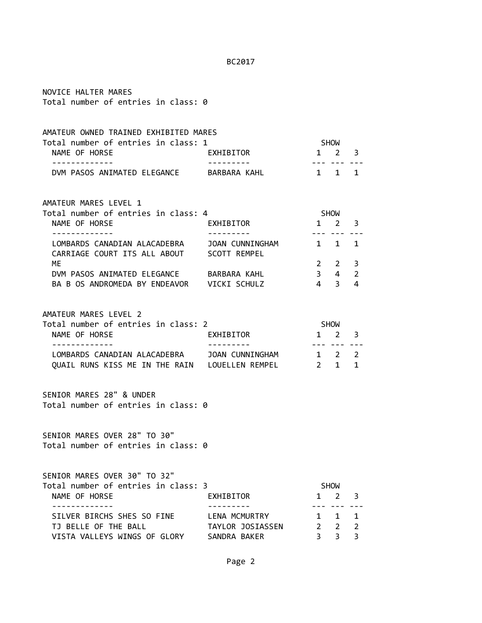| NOVICE HALTER MARES<br>Total number of entries in class: 0                                                                                |                                   |                             |                                                             |                   |
|-------------------------------------------------------------------------------------------------------------------------------------------|-----------------------------------|-----------------------------|-------------------------------------------------------------|-------------------|
| AMATEUR OWNED TRAINED EXHIBITED MARES<br>Total number of entries in class: 1<br>NAME OF HORSE                                             | EXHIBITOR                         | $1 \quad 2 \quad 3$         | SHOW                                                        |                   |
| DVM PASOS ANIMATED ELEGANCE BARBARA KAHL                                                                                                  |                                   | $1 \quad 1 \quad 1$         | --- --- ---                                                 |                   |
| AMATEUR MARES LEVEL 1<br>Total number of entries in class: 4<br>NAME OF HORSE                                                             | EXHIBITOR                         | $1 \quad 2 \quad 3$         | SHOW                                                        |                   |
| CARRIAGE COURT ITS ALL ABOUT SCOTT REMPEL<br>ME<br>DVM PASOS ANIMATED ELEGANCE BARBARA KAHL<br>BA B OS ANDROMEDA BY ENDEAVOR VICKI SCHULZ | ---------                         |                             | $2 \t2 \t3$<br>$3 \qquad 4 \qquad 2$<br>$4 \quad 3 \quad 4$ |                   |
| AMATEUR MARES LEVEL 2<br>Total number of entries in class: 2<br>NAME OF HORSE                                                             | EXHIBITOR                         | SHOW<br>$1 \quad 2 \quad 3$ |                                                             |                   |
| LOMBARDS CANADIAN ALACADEBRA JOAN CUNNINGHAM<br>QUAIL RUNS KISS ME IN THE RAIN LOUELLEN REMPEL 2 1 1                                      |                                   | $1 \quad 2 \quad 2$         | --- --- --                                                  |                   |
| SENIOR MARES 28" & UNDER<br>Total number of entries in class: 0                                                                           |                                   |                             |                                                             |                   |
| SENIOR MARES OVER 28" TO 30"<br>Total number of entries in class: 0                                                                       |                                   |                             |                                                             |                   |
| SENIOR MARES OVER 30" TO 32"<br>Total number of entries in class: 3<br>NAME OF HORSE                                                      | EXHIBITOR                         |                             | SHOW<br>$1 \t2 \t3$                                         |                   |
| SILVER BIRCHS SHES SO FINE<br>TJ BELLE OF THE BALL<br>VISTA VALLEYS WINGS OF GLORY SANDRA BAKER                                           | LENA MCMURTRY<br>TAYLOR JOSIASSEN |                             | 1 1<br>$2 \quad 2 \quad 2$<br>$3 \overline{3}$              | $\mathbf{1}$<br>3 |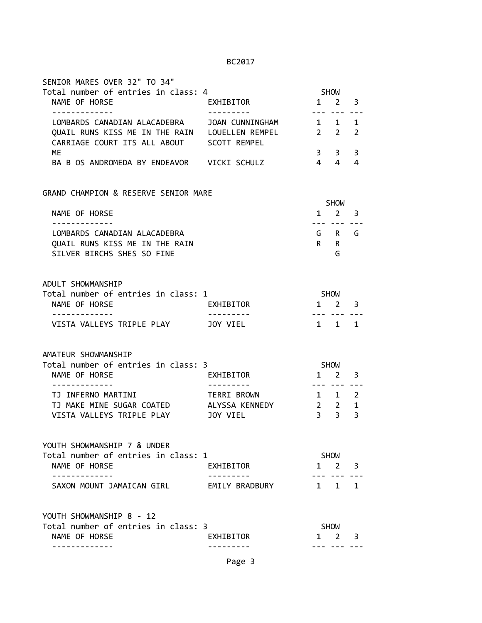| SENIOR MARES OVER 32" TO 34"                                                                |                 |                |                                    |                |
|---------------------------------------------------------------------------------------------|-----------------|----------------|------------------------------------|----------------|
| Total number of entries in class: 4                                                         |                 |                | <b>SHOW</b>                        |                |
| NAME OF HORSE                                                                               | EXHIBITOR       | ---            | $1 \quad 2$                        | 3              |
| LOMBARDS CANADIAN ALACADEBRA                                                                | JOAN CUNNINGHAM |                | 1 1                                | 1              |
| QUAIL RUNS KISS ME IN THE RAIN LOUELLEN REMPEL<br>CARRIAGE COURT ITS ALL ABOUT SCOTT REMPEL |                 | $2 \t2$        |                                    | $\overline{2}$ |
| МE                                                                                          |                 | 3 <sup>7</sup> | $3^{\circ}$                        | 3              |
| BA B OS ANDROMEDA BY ENDEAVOR VICKI SCHULZ                                                  |                 | 4 4            |                                    | 4              |
| GRAND CHAMPION & RESERVE SENIOR MARE                                                        |                 |                |                                    |                |
|                                                                                             |                 |                | SHOW                               |                |
| NAME OF HORSE<br>. <u>.</u>                                                                 |                 |                | $1 \quad 2$<br>--- --- ---         | 3              |
| LOMBARDS CANADIAN ALACADEBRA                                                                |                 |                | G R G                              |                |
| OUAIL RUNS KISS ME IN THE RAIN                                                              |                 | $R$ $R$        |                                    |                |
| SILVER BIRCHS SHES SO FINE                                                                  |                 |                | G                                  |                |
| ADULT SHOWMANSHIP                                                                           |                 |                |                                    |                |
| Total number of entries in class: 1                                                         |                 | SHOW           |                                    |                |
| NAME OF HORSE<br>-------------                                                              | EXHIBITOR       |                | $1 \quad 2 \quad 3$<br>--- --- --- |                |
| VISTA VALLEYS TRIPLE PLAY                                                                   | JOY VIEL        |                | $1 \quad 1$                        | 1              |
| AMATEUR SHOWMANSHIP                                                                         |                 |                |                                    |                |
| Total number of entries in class: 3                                                         |                 |                | <b>SHOW</b>                        |                |
| NAME OF HORSE                                                                               | EXHIBITOR       |                | $1 \quad 2$                        | 3              |
| TJ INFERNO MARTINI                                                                          | TERRI BROWN     | --- ---        | $1 \quad 1$                        | 2              |
| TJ MAKE MINE SUGAR COATED ALYSSA KENNEDY                                                    |                 |                | $2 \quad 2$                        | 1              |
| VISTA VALLEYS TRIPLE PLAY                                                                   | JOY VIEL        |                | $3 \quad 3$                        | 3              |
| YOUTH SHOWMANSHIP 7 & UNDER                                                                 |                 |                |                                    |                |
| Total number of entries in class: 1                                                         |                 |                | SHOW                               |                |
| NAME OF HORSE<br>. <u>_ _ _ _ _ _ _ _ _ _</u> _                                             | EXHIBITOR       |                | $1 \quad 2$                        | 3              |
| SAXON MOUNT JAMAICAN GIRL                                                                   | EMILY BRADBURY  |                | $1 \quad 1 \quad 1$                |                |
| YOUTH SHOWMANSHIP 8 - 12                                                                    |                 |                |                                    |                |
| Total number of entries in class: 3                                                         |                 |                | SHOW                               |                |
| NAME OF HORSE                                                                               | EXHIBITOR       |                | $1 \quad 2$                        | 3              |
|                                                                                             |                 |                |                                    |                |

Page 3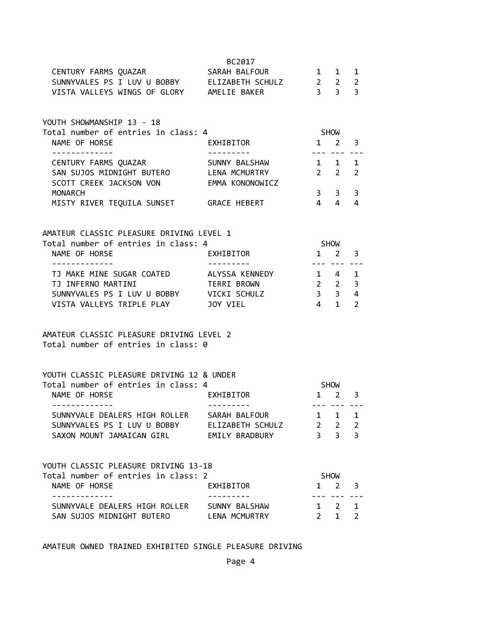|                                                                                                                                                                   |                             |                                                                        |                                                                                | $\mathbf 1$<br>$\overline{2}$<br>$\overline{3}$ |
|-------------------------------------------------------------------------------------------------------------------------------------------------------------------|-----------------------------|------------------------------------------------------------------------|--------------------------------------------------------------------------------|-------------------------------------------------|
| YOUTH SHOWMANSHIP 13 - 18<br>Total number of entries in class: 4<br>NAME OF HORSE                                                                                 | EXHIBITOR                   | SHOW<br>$1 \quad 2 \quad 3$                                            |                                                                                |                                                 |
| CENTURY FARMS QUAZAR                   SUNNY BALSHAW<br>SAN SUJOS MIDNIGHT BUTERO            LENA MCMURTRY<br>SCOTT CREEK JACKSON VON EMMA KONONOWICZ             |                             | $2\quad 2$                                                             | --- ----<br>$1 \quad 1 \quad 1$                                                | 2                                               |
| <b>MONARCH</b><br>MISTY RIVER TEQUILA SUNSET GRACE HEBERT                                                                                                         |                             | $4 \quad 4$                                                            | $3 \overline{\smash)3}$                                                        | 3<br>4                                          |
| AMATEUR CLASSIC PLEASURE DRIVING LEVEL 1<br>Total number of entries in class: 4<br>NAME OF HORSE                                                                  | EXHIBITOR                   | $1 \quad 2$                                                            | SHOW                                                                           | 3                                               |
| .<br>TJ MAKE MINE SUGAR COATED ALYSSA KENNEDY 1 4 1<br>TJ INFERNO MARTINI<br>SUNNYVALES PS I LUV U BOBBY VICKI SCHULZ<br>VISTA VALLEYS TRIPLE PLAY <b>100 USE</b> | <b>TERRI BROWN</b>          | $\begin{array}{ccc} 2 & 2 & 3 \\ 3 & 3 & 4 \end{array}$<br>$4 \quad 1$ | --- --- ---                                                                    | $\overline{2}$                                  |
| AMATEUR CLASSIC PLEASURE DRIVING LEVEL 2<br>Total number of entries in class: 0                                                                                   |                             |                                                                        |                                                                                |                                                 |
| YOUTH CLASSIC PLEASURE DRIVING 12 & UNDER<br>Total number of entries in class: 4<br>NAME OF HORSE                                                                 | EXHIBITOR                   | $1 \quad 2$                                                            | SHOW                                                                           | 3                                               |
| -------------<br>SUNNYVALE DEALERS HIGH ROLLER SARAH BALFOUR<br>SUNNYVALES PS I LUV U BOBBY ELIZABETH SCHULZ<br>SAXON MOUNT JAMAICAN GIRL                         | ---------<br>EMILY BRADBURY | $1 \quad$<br>$\overline{2}$                                            | --- --- ---<br>$\mathbf{1}$<br>$\overline{2}$<br>$\overline{3}$ $\overline{3}$ | 1<br>$\overline{2}$<br>3                        |
| YOUTH CLASSIC PLEASURE DRIVING 13-18<br>Total number of entries in class: 2                                                                                       |                             |                                                                        | <b>SHOW</b>                                                                    |                                                 |
| NAME OF HORSE<br>-----------<br>SUNNYVALE DEALERS HIGH ROLLER SUNNY BALSHAW                                                                                       | EXHIBITOR                   | 1                                                                      | 2<br><br>$1 \quad 2$                                                           | 3<br>1                                          |
| SAN SUJOS MIDNIGHT BUTERO LENA MCMURTRY                                                                                                                           |                             | $2^{\circ}$                                                            | $1 \quad$                                                                      | $\overline{2}$                                  |

AMATEUR OWNED TRAINED EXHIBITED SINGLE PLEASURE DRIVING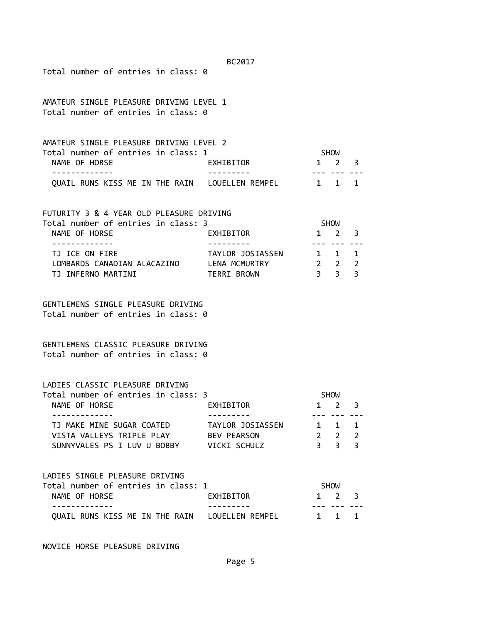| BC2017                                                                                                                                                  |                        |                                                                  |  |  |  |
|---------------------------------------------------------------------------------------------------------------------------------------------------------|------------------------|------------------------------------------------------------------|--|--|--|
| Total number of entries in class: 0                                                                                                                     |                        |                                                                  |  |  |  |
| AMATEUR SINGLE PLEASURE DRIVING LEVEL 1<br>Total number of entries in class: 0                                                                          |                        |                                                                  |  |  |  |
| AMATEUR SINGLE PLEASURE DRIVING LEVEL 2                                                                                                                 |                        |                                                                  |  |  |  |
| Total number of entries in class: 1                                                                                                                     |                        | SHOW                                                             |  |  |  |
| NAME OF HORSE                                                                                                                                           | EXHIBITOR              | $1 \quad 2 \quad 3$                                              |  |  |  |
| QUAIL RUNS KISS ME IN THE RAIN LOUELLEN REMPEL 1 1 1                                                                                                    |                        |                                                                  |  |  |  |
| FUTURITY 3 & 4 YEAR OLD PLEASURE DRIVING                                                                                                                |                        |                                                                  |  |  |  |
| Total number of entries in class: 3<br>NAME OF HORSE                                                                                                    | EXHIBITOR              | <b>SHOW</b><br>$1 \quad 2$<br>$\overline{\mathbf{3}}$            |  |  |  |
| . _ _ _ _ _ _ _ _ _ _ _                                                                                                                                 |                        | <u>--- --- --</u>                                                |  |  |  |
| TJ ICE ON FIRE                                                                                                                                          | TAYLOR JOSIASSEN 1 1 1 |                                                                  |  |  |  |
| LOMBARDS CANADIAN ALACAZINO LENA MCMURTRY<br>TJ INFERNO MARTINI                                                                                         | TERRI BROWN            | $2\quad 2$<br>$\overline{2}$<br>3 <sup>3</sup><br>$\overline{3}$ |  |  |  |
| GENTLEMENS SINGLE PLEASURE DRIVING<br>Total number of entries in class: 0<br>GENTLEMENS CLASSIC PLEASURE DRIVING<br>Total number of entries in class: 0 |                        |                                                                  |  |  |  |
| LADIES CLASSIC PLEASURE DRIVING<br>Total number of entries in class: 3                                                                                  |                        | <b>SHOW</b>                                                      |  |  |  |
| NAME OF HORSE                                                                                                                                           | EXHIBITOR              | $1 \quad 2$<br>3                                                 |  |  |  |
| TJ MAKE MINE SUGAR COATED                                                                                                                               | TAYLOR JOSIASSEN       | 1 1 1                                                            |  |  |  |
| VISTA VALLEYS TRIPLE PLAY BEV PEARSON<br>SUNNYVALES PS I LUV U BOBBY VICKI SCHULZ                                                                       |                        | $\begin{array}{cccc} 2 & 2 & 2 \\ 3 & 3 & 3 \end{array}$         |  |  |  |
|                                                                                                                                                         |                        |                                                                  |  |  |  |
| LADIES SINGLE PLEASURE DRIVING<br>Total number of entries in class: 1                                                                                   |                        | SHOW                                                             |  |  |  |
| NAME OF HORSE                                                                                                                                           | EXHIBITOR              | $1 \quad 2$<br>3                                                 |  |  |  |
| QUAIL RUNS KISS ME IN THE RAIN LOUELLEN REMPEL                                                                                                          |                        | 1 1 1                                                            |  |  |  |
|                                                                                                                                                         |                        |                                                                  |  |  |  |

NOVICE HORSE PLEASURE DRIVING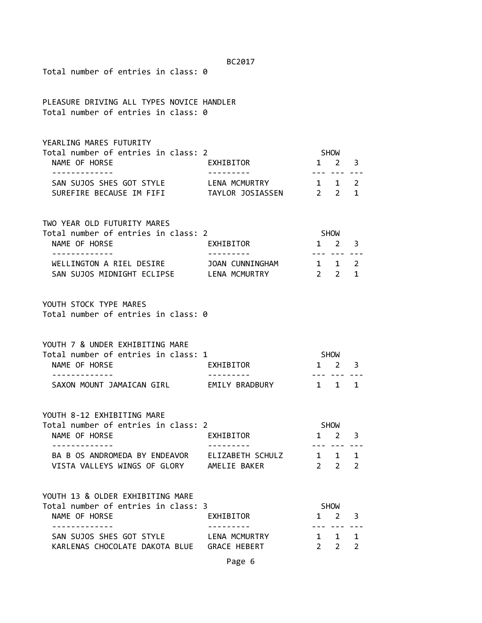| Total number of entries in class: 0                                                                          | BC2017        |                        |                            |                     |
|--------------------------------------------------------------------------------------------------------------|---------------|------------------------|----------------------------|---------------------|
| PLEASURE DRIVING ALL TYPES NOVICE HANDLER<br>Total number of entries in class: 0                             |               |                        |                            |                     |
| YEARLING MARES FUTURITY<br>Total number of entries in class: 2<br>NAME OF HORSE<br>-----------               | EXHIBITOR     | SHOW                   | 1 2                        | 3                   |
| SAN SUJOS SHES GOT STYLE                                                                                     | LENA MCMURTRY |                        | 1 1 2                      | 1                   |
| TWO YEAR OLD FUTURITY MARES<br>Total number of entries in class: 2<br>NAME OF HORSE                          | EXHIBITOR     | SHOW                   | $1 \quad 2 \quad 3$        |                     |
| WELLINGTON A RIEL DESIRE JOAN CUNNINGHAM<br>SAN SUJOS MIDNIGHT ECLIPSE LENA MCMURTRY                         |               | $1 \quad 1$<br>$2 \t2$ | <u>--- --- ---</u>         | $\overline{2}$<br>1 |
| YOUTH STOCK TYPE MARES<br>Total number of entries in class: 0                                                |               |                        |                            |                     |
| YOUTH 7 & UNDER EXHIBITING MARE<br>Total number of entries in class: 1<br>NAME OF HORSE                      | EXHIBITOR     | SHOW<br>1 2 3          |                            |                     |
| .<br>SAXON MOUNT JAMAICAN GIRL EMILY BRADBURY                                                                |               |                        | 1 1 1                      |                     |
| YOUTH 8-12 EXHIBITING MARE<br>Total number of entries in class: 2<br>NAME OF HORSE                           | EXHIBITOR     |                        | <b>SHOW</b><br>$1 \quad 2$ | 3                   |
| -------------<br>BA B OS ANDROMEDA BY ENDEAVOR ELIZABETH SCHULZ<br>VISTA VALLEYS WINGS OF GLORY AMELIE BAKER | ---------     |                        | $1 \quad 1$<br>$2 \quad 2$ | 1<br>$\overline{2}$ |
| YOUTH 13 & OLDER EXHIBITING MARE<br>Total number of entries in class: 3<br>NAME OF HORSE                     | EXHIBITOR     |                        | <b>SHOW</b><br>1 2         | 3                   |
| -----------<br>SAN SUJOS SHES GOT STYLE LENA MCMURTRY<br>KARLENAS CHOCOLATE DAKOTA BLUE GRACE HEBERT         |               | $2^{\sim}$             | .<br>1 1 1<br>$2^{\circ}$  | $\overline{2}$      |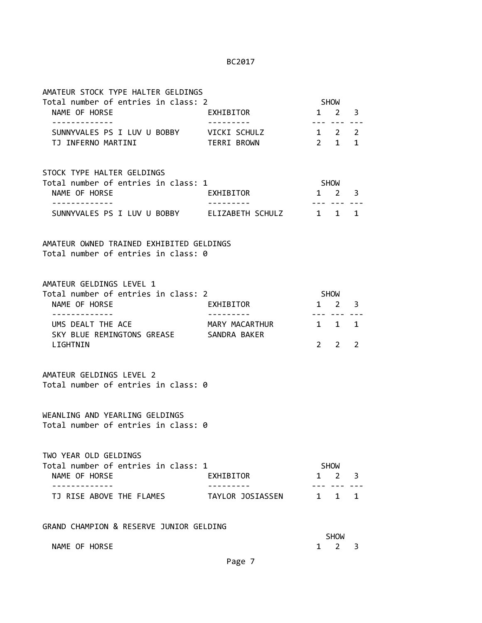| AMATEUR STOCK TYPE HALTER GELDINGS                                              |                    |                     |                                    |   |
|---------------------------------------------------------------------------------|--------------------|---------------------|------------------------------------|---|
| Total number of entries in class: 2<br>NAME OF HORSE                            | EXHIBITOR          |                     | <b>SHOW</b><br>$1 \quad 2 \quad 3$ |   |
| -------------                                                                   | ---------          |                     | --- --- ---                        |   |
| SUNNYVALES PS I LUV U BOBBY VICKI SCHULZ<br>TJ INFERNO MARTINI                  | <b>TERRI BROWN</b> | $1 \quad 2 \quad 2$ | $2 \quad 1 \quad 1$                |   |
|                                                                                 |                    |                     |                                    |   |
| STOCK TYPE HALTER GELDINGS                                                      |                    |                     |                                    |   |
| Total number of entries in class: 1                                             |                    | SHOW                |                                    |   |
| NAME OF HORSE<br>------------                                                   | EXHIBITOR          | 1 2 3               | --- --- ---                        |   |
| SUNNYVALES PS I LUV U BOBBY ELIZABETH SCHULZ 1 1 1                              |                    |                     |                                    |   |
| AMATEUR OWNED TRAINED EXHIBITED GELDINGS<br>Total number of entries in class: 0 |                    |                     |                                    |   |
| AMATEUR GELDINGS LEVEL 1                                                        |                    |                     |                                    |   |
| Total number of entries in class: 2                                             |                    | SHOW                |                                    |   |
| NAME OF HORSE                                                                   | EXHIBITOR          | $1 \quad 2 \quad 3$ |                                    |   |
| -------------<br>UMS DEALT THE ACE                                              | MARY MACARTHUR     |                     | --- --- ---<br>$1 \quad 1$         | 1 |
| SKY BLUE REMINGTONS GREASE SANDRA BAKER<br>LIGHTNIN                             |                    | $2^{\circ}$         | $\mathbf{2}$                       | 2 |
|                                                                                 |                    |                     |                                    |   |
| AMATEUR GELDINGS LEVEL 2                                                        |                    |                     |                                    |   |
| Total number of entries in class: 0                                             |                    |                     |                                    |   |
| WEANLING AND YEARLING GELDINGS                                                  |                    |                     |                                    |   |
| Total number of entries in class: 0                                             |                    |                     |                                    |   |
| TWO YEAR OLD GELDINGS                                                           |                    |                     |                                    |   |
| Total number of entries in class: 1<br>NAME OF HORSE                            | EXHIBITOR          | $1 \quad$           | SHOW<br>2                          | 3 |
|                                                                                 |                    |                     |                                    |   |
| TJ RISE ABOVE THE FLAMES                                                        | TAYLOR JOSIASSEN   | 1 1 1               |                                    |   |
| GRAND CHAMPION & RESERVE JUNIOR GELDING                                         |                    |                     |                                    |   |
|                                                                                 |                    |                     | <b>SHOW</b>                        |   |
| NAME OF HORSE                                                                   |                    | 1                   | $2^{\circ}$                        | 3 |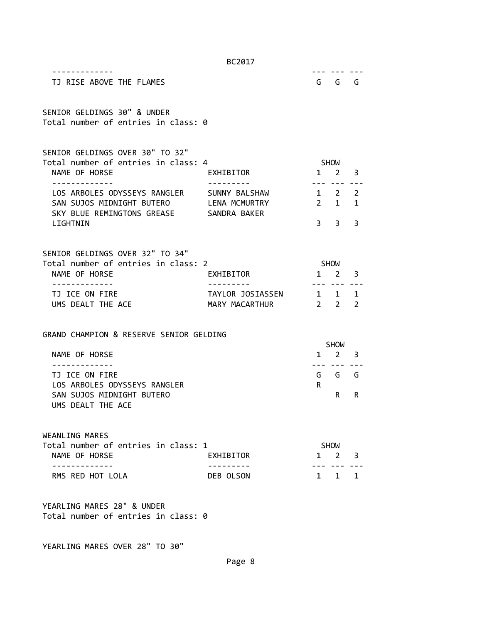| TJ RISE ABOVE THE FLAMES                                                                                                                         |                                          |                     | --- ---<br>G G G                   |   |
|--------------------------------------------------------------------------------------------------------------------------------------------------|------------------------------------------|---------------------|------------------------------------|---|
| SENIOR GELDINGS 30" & UNDER<br>Total number of entries in class: 0                                                                               |                                          |                     |                                    |   |
| SENIOR GELDINGS OVER 30" TO 32"<br>Total number of entries in class: 4<br>NAME OF HORSE                                                          | EXHIBITOR                                |                     | SHOW<br>$1 \quad 2 \quad 3$        |   |
| ------------<br>LOS ARBOLES ODYSSEYS RANGLER SUNNY BALSHAW<br>SAN SUJOS MIDNIGHT BUTERO LENA MCMURTRY<br>SKY BLUE REMINGTONS GREASE SANDRA BAKER |                                          | $1 \quad 2 \quad 2$ | --- --- -- <u>-</u><br>$2 \quad 1$ | 1 |
| LIGHTNIN                                                                                                                                         |                                          |                     | $3 \quad 3$                        | 3 |
| SENIOR GELDINGS OVER 32" TO 34"<br>Total number of entries in class: 2<br>NAME OF HORSE<br>- - - - - - - - - - - - -                             | EXHIBITOR<br>---------                   | $1 \quad 2 \quad 3$ | SHOW<br>--- --- ---                |   |
| TJ ICE ON FIRE<br>UMS DEALT THE ACE                                                                                                              | TAYLOR JOSIASSEN 1 1 1<br>MARY MACARTHUR | $2 \t2 \t2$         |                                    |   |
| GRAND CHAMPION & RESERVE SENIOR GELDING<br>NAME OF HORSE                                                                                         |                                          |                     | SHOW<br>$1 \quad 2 \quad 3$        |   |
| TJ ICE ON FIRE                                                                                                                                   |                                          | $- - -$             | G G G                              |   |
| LOS ARBOLES ODYSSEYS RANGLER<br>SAN SUJOS MIDNIGHT BUTERO<br>UMS DEALT THE ACE                                                                   |                                          | R                   | R.                                 | R |
| WEANLING MARES<br>Total number of entries in class: 1<br>NAME OF HORSE                                                                           | EXHIBITOR                                |                     | SHOW<br>$1 \t2 \t3$                |   |
| .<br>RMS RED HOT LOLA                                                                                                                            | DEB OLSON                                |                     | $1 \quad 1 \quad 1$                |   |
| YEARLING MARES 28" & UNDER<br>Total number of entries in class: 0<br>YEARLING MARES OVER 28" TO 30"                                              |                                          |                     |                                    |   |

Page 8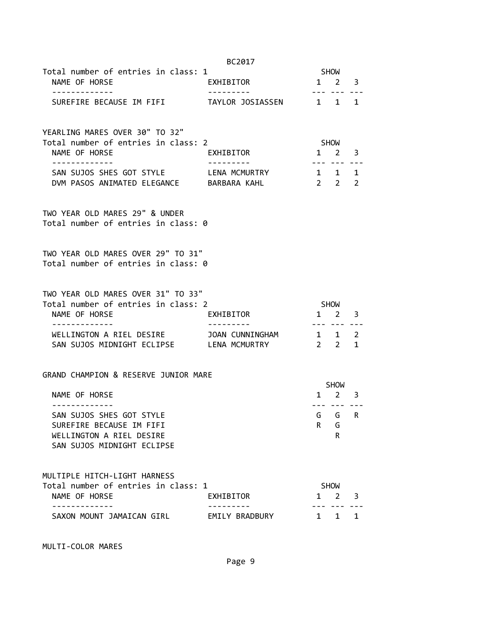|                                                                                            | BC2017    |                     |                             |   |  |
|--------------------------------------------------------------------------------------------|-----------|---------------------|-----------------------------|---|--|
| Total number of entries in class: 1                                                        |           | SHOW                |                             |   |  |
| NAME OF HORSE                                                                              | EXHIBITOR | $1 \quad 2 \quad 3$ |                             |   |  |
| -------------<br>SUREFIRE BECAUSE IM FIFI TAYLOR JOSIASSEN 1 1 1                           |           |                     |                             |   |  |
| YEARLING MARES OVER 30" TO 32"<br>Total number of entries in class: 2                      |           |                     |                             |   |  |
| NAME OF HORSE                                                                              | EXHIBITOR | $1 \quad 2 \quad 3$ | SHOW<br>--- --- --          |   |  |
| SAN SUJOS SHES GOT STYLE LENA MCMURTRY 1 1 1<br>DVM PASOS ANIMATED ELEGANCE BARBARA KAHL   |           | $2\quad 2\quad 2$   |                             |   |  |
| TWO YEAR OLD MARES 29" & UNDER<br>Total number of entries in class: 0                      |           |                     |                             |   |  |
| TWO YEAR OLD MARES OVER 29" TO 31"<br>Total number of entries in class: 0                  |           |                     |                             |   |  |
| TWO YEAR OLD MARES OVER 31" TO 33"<br>Total number of entries in class: 2<br>NAME OF HORSE | EXHIBITOR | $1 \quad 2 \quad 3$ | SHOW                        |   |  |
| ------------<br>SAN SUJOS MIDNIGHT ECLIPSE LENA MCMURTRY                                   |           | $2 \quad 2 \quad 1$ | --- --- -- <u>.</u>         |   |  |
| GRAND CHAMPION & RESERVE JUNIOR MARE                                                       |           |                     |                             |   |  |
| NAME OF HORSE                                                                              |           |                     | SHOW<br>$1 \quad 2 \quad 3$ |   |  |
| -------------                                                                              |           |                     | --- --- ---                 |   |  |
| SAN SUJOS SHES GOT STYLE                                                                   |           | G                   | G                           | R |  |
| SUREFIRE BECAUSE IM FIFI                                                                   |           | R.                  | G                           |   |  |
| WELLINGTON A RIEL DESIRE<br>SAN SUJOS MIDNIGHT ECLIPSE                                     |           |                     | R                           |   |  |
| MULTIPLE HITCH-LIGHT HARNESS                                                               |           |                     |                             |   |  |
|                                                                                            |           |                     |                             |   |  |
| Total number of entries in class: 1                                                        |           |                     | SHOW                        |   |  |
| NAME OF HORSE                                                                              | EXHIBITOR | $1 \quad$           | 2                           | 3 |  |

MULTI-COLOR MARES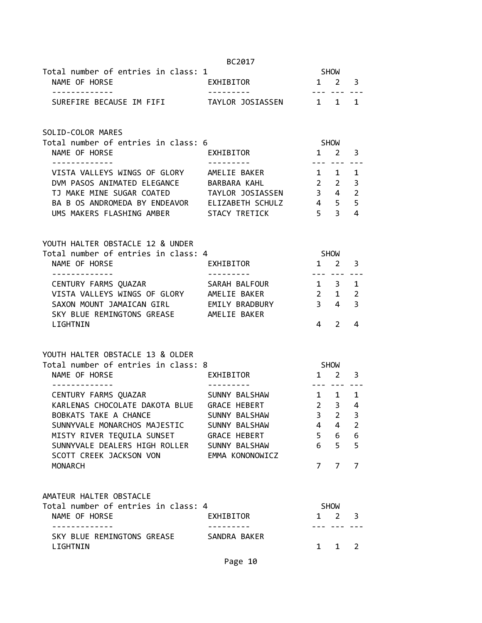|                                                                                           | BC2017                           |                        |                    |                         |
|-------------------------------------------------------------------------------------------|----------------------------------|------------------------|--------------------|-------------------------|
| Total number of entries in class: 1                                                       |                                  |                        | <b>SHOW</b>        |                         |
| NAME OF HORSE<br>.                                                                        | EXHIBITOR                        | $1 \quad 2$            |                    | $\overline{\mathbf{3}}$ |
| SUREFIRE BECAUSE IM FIFI TAYLOR JOSIASSEN 1 1                                             |                                  |                        |                    | 1                       |
| SOLID-COLOR MARES                                                                         |                                  |                        |                    |                         |
| Total number of entries in class: 6<br>NAME OF HORSE                                      | EXHIBITOR                        | $1 \quad 2$            | SHOW               | 3                       |
| -------------                                                                             | . <b>.</b> .                     |                        | <u>--- --- ---</u> |                         |
| VISTA VALLEYS WINGS OF GLORY AMELIE BAKER                                                 |                                  | $1 \quad 1$            |                    | 1                       |
| DVM PASOS ANIMATED ELEGANCE BARBARA KAHL                                                  |                                  | $2\quad 2$             |                    | $\overline{\mathbf{3}}$ |
| TJ MAKE MINE SUGAR COATED TAYLOR JOSIASSEN 3 4                                            |                                  | $4\quad 5$             |                    | $\overline{2}$          |
| BA B OS ANDROMEDA BY ENDEAVOR ELIZABETH SCHULZ<br>UMS MAKERS FLASHING AMBER STACY TRETICK |                                  | $5 \overline{3}$       |                    | 5<br>4                  |
|                                                                                           |                                  |                        |                    |                         |
| YOUTH HALTER OBSTACLE 12 & UNDER                                                          |                                  |                        |                    |                         |
| Total number of entries in class: 4                                                       |                                  | <b>SHOW</b>            |                    |                         |
| NAME OF HORSE                                                                             | EXHIBITOR                        | $1 \quad 2$            |                    | 3                       |
| .                                                                                         | _ _ _ _ _ _ _ _ _                |                        | --- --- ---        |                         |
| CENTURY FARMS QUAZAR                                                                      | SARAH BALFOUR                    | $1 \quad 3$            |                    | $\mathbf{1}$            |
| VISTA VALLEYS WINGS OF GLORY AMELIE BAKER                                                 |                                  |                        | $2 \quad 1$        | $\overline{2}$          |
| SAXON MOUNT JAMAICAN GIRL EMILY BRADBURY<br>SKY BLUE REMINGTONS GREASE AMELIE BAKER       |                                  | $3 \quad 4$            |                    | 3                       |
| LIGHTNIN                                                                                  |                                  | 4                      | $\overline{2}$     | 4                       |
|                                                                                           |                                  |                        |                    |                         |
| YOUTH HALTER OBSTACLE 13 & OLDER                                                          |                                  |                        |                    |                         |
| Total number of entries in class: 8                                                       |                                  |                        | SHOW               |                         |
| NAME OF HORSE                                                                             | EXHIBITOR                        | $1 \quad 2$<br>------- |                    | 3                       |
| CENTURY FARMS QUAZAR SUNNY BALSHAW                                                        |                                  | $1 \quad 1$            |                    | 1                       |
| KARLENAS CHOCOLATE DAKOTA BLUE GRACE HEBERT                                               |                                  | 2 <sup>3</sup>         |                    | 4                       |
| BOBKATS TAKE A CHANCE                                                                     | SUNNY BALSHAW                    | 3                      | $\overline{2}$     | 3                       |
| SUNNYVALE MONARCHOS MAJESTIC                                                              | SUNNY BALSHAW                    | 4                      | 4                  | $\overline{2}$          |
| MISTY RIVER TEQUILA SUNSET                                                                | <b>GRACE HEBERT</b>              | 5 <sup>1</sup>         | 6                  | 6                       |
| SUNNYVALE DEALERS HIGH ROLLER<br>SCOTT CREEK JACKSON VON                                  | SUNNY BALSHAW<br>EMMA KONONOWICZ | 6                      | 5                  | 5                       |
| <b>MONARCH</b>                                                                            |                                  | 7                      | $\overline{7}$     | $\overline{7}$          |
|                                                                                           |                                  |                        |                    |                         |
| AMATEUR HALTER OBSTACLE                                                                   |                                  |                        |                    |                         |
| Total number of entries in class: 4                                                       |                                  |                        | <b>SHOW</b>        |                         |
| NAME OF HORSE<br>------------                                                             | EXHIBITOR                        | $\mathbf{1}$           | 2                  | 3                       |
| SKY BLUE REMINGTONS GREASE                                                                | SANDRA BAKER                     |                        |                    |                         |
| LIGHTNIN                                                                                  |                                  | $\mathbf{1}$           | $\mathbf{1}$       | $\overline{2}$          |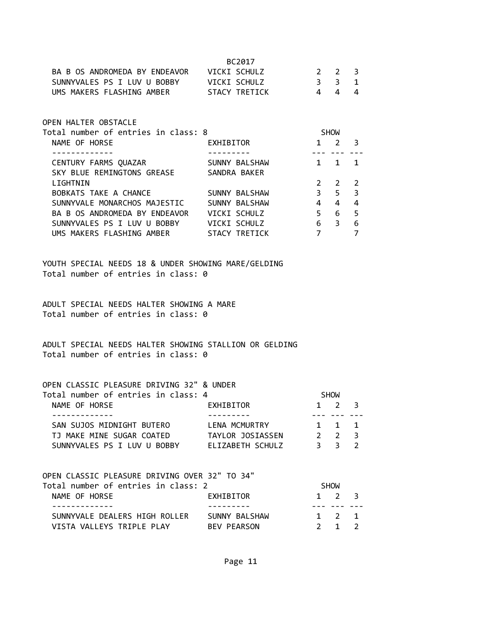| BA B OS ANDROMEDA BY ENDEAVOR VICKI SCHULZ<br>SUNNYVALES PS I LUV U BOBBY VICKI SCHULZ<br>UMS MAKERS FLASHING AMBER STACY TRETICK | BC2017        | $2 \t2$<br>3 <sup>3</sup><br>$4 \quad$ | $\overline{4}$  | 3<br>$\mathbf{1}$<br>4 |
|-----------------------------------------------------------------------------------------------------------------------------------|---------------|----------------------------------------|-----------------|------------------------|
| OPEN HALTER OBSTACLE                                                                                                              |               |                                        |                 |                        |
| Total number of entries in class: 8                                                                                               |               |                                        | <b>SHOW</b>     |                        |
| NAME OF HORSE                                                                                                                     | EXHIBITOR     |                                        | $1 \quad 2$     | 3                      |
|                                                                                                                                   |               |                                        |                 |                        |
| CENTURY FARMS QUAZAR                                                                                                              | SUNNY BALSHAW |                                        | $1 \quad 1$     | 1                      |
| SKY BLUE REMINGTONS GREASE                                                                                                        | SANDRA BAKER  |                                        |                 |                        |
| LIGHTNIN                                                                                                                          |               | $2^{\circ}$                            | $2^{\circ}$     | $\overline{2}$         |
| BOBKATS TAKE A CHANCE                                                                                                             | SUNNY BALSHAW | 3 <sup>7</sup>                         | $5 -$           | $\overline{3}$         |
| SUNNYVALE MONARCHOS MAJESTIC                                                                                                      | SUNNY BALSHAW | $4 \quad$                              | $4 \quad$       | 4                      |
| BA B OS ANDROMEDA BY ENDEAVOR     VICKI SCHULZ                                                                                    |               | $5 -$                                  | $6\overline{6}$ | 5                      |
| SUNNYVALES PS I LUV U BOBBY         VICKI SCHULZ                                                                                  |               | $6\overline{6}$                        | 3 <sup>7</sup>  | 6                      |
| UMS MAKERS FLASHING AMBER STACY TRETICK                                                                                           |               | $\overline{7}$                         |                 | 7                      |
|                                                                                                                                   |               |                                        |                 |                        |

YOUTH SPECIAL NEEDS 18 & UNDER SHOWING MARE/GELDING Total number of entries in class: 0

ADULT SPECIAL NEEDS HALTER SHOWING A MARE Total number of entries in class: 0

ADULT SPECIAL NEEDS HALTER SHOWING STALLION OR GELDING Total number of entries in class: 0

#### OPEN CLASSIC PLEASURE DRIVING 32" & UNDER

| EXHIBITOR        |                                     |             |                                                    |
|------------------|-------------------------------------|-------------|----------------------------------------------------|
|                  |                                     |             |                                                    |
| LENA MCMURTRY    |                                     |             |                                                    |
| TAYLOR JOSIASSEN |                                     |             |                                                    |
| ELIZABETH SCHULZ |                                     |             |                                                    |
|                  | Total number of entries in class: 4 | <b>SHOW</b> | $1 \quad 2 \quad 3$<br>1 1 1<br>$2 \t2 \t3$<br>२२२ |

| OPEN CLASSIC PLEASURE DRIVING OVER 32" TO 34" |                    |                     |  |
|-----------------------------------------------|--------------------|---------------------|--|
| Total number of entries in class: 2           |                    | SHOW                |  |
| NAME OF HORSE                                 | EXHIBITOR          | $1 \quad 2 \quad 3$ |  |
|                                               |                    |                     |  |
| SUNNYVALE DEALERS HIGH ROLLER                 | SUNNY BALSHAW      | 1 2 1               |  |
| VISTA VALLEYS TRIPLE PLAY                     | <b>BEV PEARSON</b> | $2 \quad 1 \quad 2$ |  |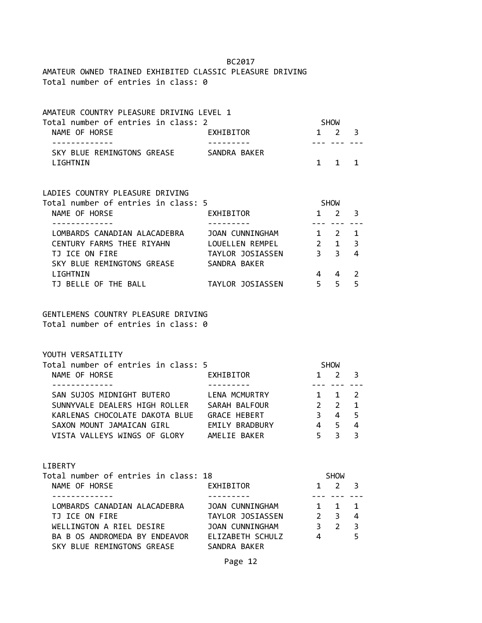## AMATEUR OWNED TRAINED EXHIBITED CLASSIC PLEASURE DRIVING Total number of entries in class: 0

| AMATEUR COUNTRY PLEASURE DRIVING LEVEL 1<br>Total number of entries in class: 2<br>NAME OF HORSE | EXHIBITOR          |                | SHOW<br>$1 \quad 2$ | 3              |
|--------------------------------------------------------------------------------------------------|--------------------|----------------|---------------------|----------------|
| SKY BLUE REMINGTONS GREASE SANDRA BAKER<br>LIGHTNIN                                              |                    | $1 \quad$      | 1                   | 1              |
| LADIES COUNTRY PLEASURE DRIVING<br>Total number of entries in class: 5<br>NAME OF HORSE          | EXHIBITOR          | SHOW           | $1 \quad 2$         | 3              |
|                                                                                                  |                    |                |                     |                |
| LOMBARDS CANADIAN ALACADEBRA                                                                     | JOAN CUNNINGHAM    | $1\quad 2$     |                     | 1              |
| CENTURY FARMS THEE RIYAHN LOUELLEN REMPEL 2 1                                                    |                    |                |                     | $\overline{3}$ |
| TJ ICE ON FIRE                                                                                   | TAYLOR JOSIASSEN 3 |                | $3^{\circ}$         | 4              |
| SKY BLUE REMINGTONS GREASE                                                                       | SANDRA BAKER       |                |                     |                |
| LIGHTNIN                                                                                         |                    | $\overline{4}$ | 4                   | 2              |
| TJ BELLE OF THE BALL                                                                             | TAYLOR JOSIASSEN   | 5 <sub>5</sub> |                     | 5              |
| GENTLEMENS COUNTRY PLEASURE DRIVING                                                              |                    |                |                     |                |

Total number of entries in class: 0

YOUTH VERSATILITY

| Total number of entries in class: 5 |                |               | <b>SHOW</b>         |                |  |
|-------------------------------------|----------------|---------------|---------------------|----------------|--|
| NAME OF HORSE                       | EXHIBITOR      | $\mathbf{1}$  | $2 \overline{3}$    |                |  |
|                                     |                |               |                     |                |  |
| SAN SUJOS MIDNIGHT BUTERO           | LENA MCMURTRY  |               | $1 \quad 1 \quad 2$ |                |  |
| SUNNYVALE DEALERS HIGH ROLLER       | SARAH BALFOUR  | $\mathcal{P}$ | $\overline{2}$      | $\blacksquare$ |  |
| KARLENAS CHOCOLATE DAKOTA BLUE      | GRACE HEBERT   | 3             | 4                   | - 5            |  |
| SAXON MOUNT JAMAICAN GIRL           | EMILY BRADBURY | 4             | 5.                  | $\overline{a}$ |  |
| VISTA VALLEYS WINGS OF GLORY        | AMELIE BAKER   | 5             |                     |                |  |

#### LIBERTY

| Total number of entries in class: 18 |                  |               | <b>SHOW</b>         |                         |  |
|--------------------------------------|------------------|---------------|---------------------|-------------------------|--|
| NAME OF HORSE                        | EXHIBITOR        | $\mathbf{1}$  | 2 3                 |                         |  |
|                                      |                  |               |                     |                         |  |
| LOMBARDS CANADIAN ALACADEBRA         | JOAN CUNNINGHAM  |               | $1 \quad 1 \quad 1$ |                         |  |
| TJ ICE ON FIRE                       | TAYLOR JOSIASSEN | $\mathcal{P}$ | 3                   | -4                      |  |
| WELLINGTON A RIEL DESIRE             | JOAN CUNNINGHAM  | 3             | $\overline{2}$      | $\overline{\mathbf{3}}$ |  |
| BA B OS ANDROMEDA BY ENDEAVOR        | ELIZABETH SCHULZ | 4             |                     | 5                       |  |
| SKY BLUE REMINGTONS GREASE           | SANDRA BAKER     |               |                     |                         |  |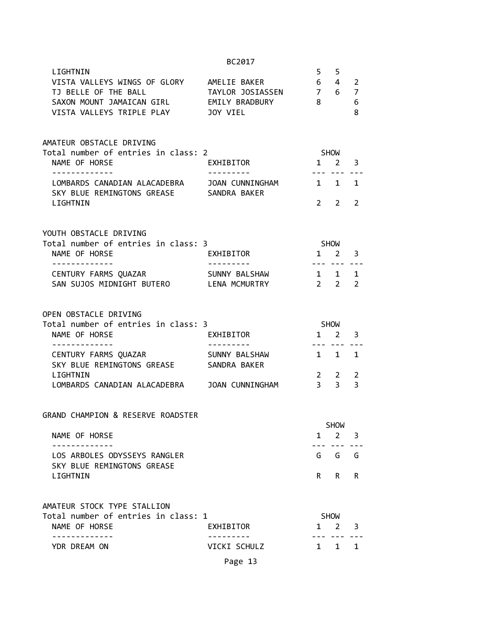|                                                                               | BC2017                           |                    |                            |                         |
|-------------------------------------------------------------------------------|----------------------------------|--------------------|----------------------------|-------------------------|
| LIGHTNIN<br>VISTA VALLEYS WINGS OF GLORY<br>TJ BELLE OF THE BALL              | AMELIE BAKER<br>TAYLOR JOSIASSEN | $5 \quad 5$<br>7 6 | $6\quad 4$                 | 2<br>$\overline{7}$     |
| SAXON MOUNT JAMAICAN GIRL<br>VISTA VALLEYS TRIPLE PLAY                        | EMILY BRADBURY<br>JOY VIEL       | 8                  |                            | 6<br>8                  |
| AMATEUR OBSTACLE DRIVING<br>Total number of entries in class: 2               |                                  | SHOW               |                            |                         |
| NAME OF HORSE                                                                 | EXHIBITOR                        |                    | $1 \quad 2$                | 3                       |
| LOMBARDS CANADIAN ALACADEBRA<br>SKY BLUE REMINGTONS GREASE SANDRA BAKER       | JOAN CUNNINGHAM                  | 1 1                |                            | 1                       |
| LIGHTNIN                                                                      |                                  |                    | $2 \quad 2$                | 2                       |
| YOUTH OBSTACLE DRIVING                                                        |                                  |                    |                            |                         |
| Total number of entries in class: 3<br>NAME OF HORSE<br>.                     | EXHIBITOR                        | <b>SHOW</b>        | $1 \quad 2$                | $\overline{\mathbf{3}}$ |
| CENTURY FARMS QUAZAR<br>SAN SUJOS MIDNIGHT BUTERO LENA MCMURTRY               | SUNNY BALSHAW                    | $2\quad 2$         | --- --- ---<br>$1 \quad 1$ | 1<br>$\overline{2}$     |
| OPEN OBSTACLE DRIVING<br>Total number of entries in class: 3<br>NAME OF HORSE | EXHIBITOR                        |                    | SHOW<br>$1 \quad 2$        | 3                       |
|                                                                               |                                  | ----               |                            |                         |
| CENTURY FARMS QUAZAR<br>SKY BLUE REMINGTONS GREASE<br>LIGHTNIN                | SUNNY BALSHAW<br>SANDRA BAKER    |                    | $1 \quad 1$<br>$2 \quad 2$ | 1<br>2                  |
| LOMBARDS CANADIAN ALACADEBRA JOAN CUNNINGHAM                                  |                                  |                    | $3 \overline{3}$           | $\overline{3}$          |
| GRAND CHAMPION & RESERVE ROADSTER                                             |                                  |                    |                            |                         |
| NAME OF HORSE                                                                 |                                  | $\mathbf{1}$       | <b>SHOW</b><br>$2^{\circ}$ | 3                       |
| LOS ARBOLES ODYSSEYS RANGLER<br>SKY BLUE REMINGTONS GREASE                    |                                  |                    | G G                        | G                       |
| LIGHTNIN                                                                      |                                  | R.                 | R                          | R                       |
| AMATEUR STOCK TYPE STALLION                                                   |                                  |                    |                            |                         |
| Total number of entries in class: 1<br>NAME OF HORSE                          | EXHIBITOR                        |                    | <b>SHOW</b><br>$1 \quad 2$ | 3                       |
| YDR DREAM ON                                                                  | VICKI SCHULZ                     |                    | 1 1                        | 1                       |
|                                                                               | Page 13                          |                    |                            |                         |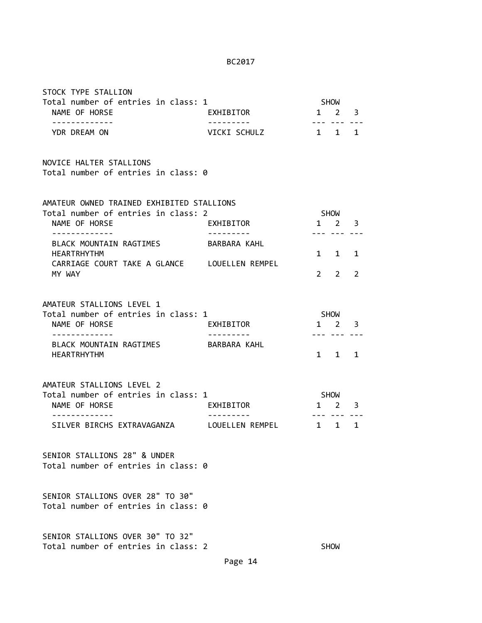| STOCK TYPE STALLION                                                                                                             |                                          |              |                                        |        |
|---------------------------------------------------------------------------------------------------------------------------------|------------------------------------------|--------------|----------------------------------------|--------|
| Total number of entries in class: 1<br>NAME OF HORSE<br>-------------                                                           | EXHIBITOR<br>. <u>.</u>                  |              | <b>SHOW</b><br>$1 \quad 2$             | 3      |
| YDR DREAM ON                                                                                                                    | VICKI SCHULZ                             | $\mathbf{1}$ | $1 \quad$                              | 1      |
| NOVICE HALTER STALLIONS<br>Total number of entries in class: 0                                                                  |                                          |              |                                        |        |
| AMATEUR OWNED TRAINED EXHIBITED STALLIONS<br>Total number of entries in class: 2<br>NAME OF HORSE                               | EXHIBITOR                                |              | SHOW<br>$1 \quad 2$                    | 3      |
| BLACK MOUNTAIN RAGTIMES<br><b>HEARTRHYTHM</b>                                                                                   | BARBARA KAHL                             |              | 1 1                                    | 1      |
| CARRIAGE COURT TAKE A GLANCE LOUELLEN REMPEL<br>MY WAY                                                                          |                                          | $2^{\circ}$  | 2                                      | 2      |
| AMATEUR STALLIONS LEVEL 1<br>Total number of entries in class: 1<br>NAME OF HORSE                                               | EXHIBITOR                                | SHOW         | $1 \quad 2$                            | 3      |
| ------------<br>BLACK MOUNTAIN RAGTIMES<br><b>HEARTRHYTHM</b>                                                                   | BARBARA KAHL                             |              | $1 \quad 1$                            | 1      |
| AMATEUR STALLIONS LEVEL 2<br>Total number of entries in class: 1<br>NAME OF HORSE<br>------------<br>SILVER BIRCHS EXTRAVAGANZA | EXHIBITOR<br>--------<br>LOUELLEN REMPEL | $\mathbf{1}$ | SHOW<br>$1 \quad 2$<br>. <i>.</i><br>1 | 3<br>1 |
| SENIOR STALLIONS 28" & UNDER<br>Total number of entries in class: 0                                                             |                                          |              |                                        |        |
| SENIOR STALLIONS OVER 28" TO 30"<br>Total number of entries in class: 0                                                         |                                          |              |                                        |        |
| SENIOR STALLIONS OVER 30" TO 32"<br>Total number of entries in class: 2                                                         |                                          |              | <b>SHOW</b>                            |        |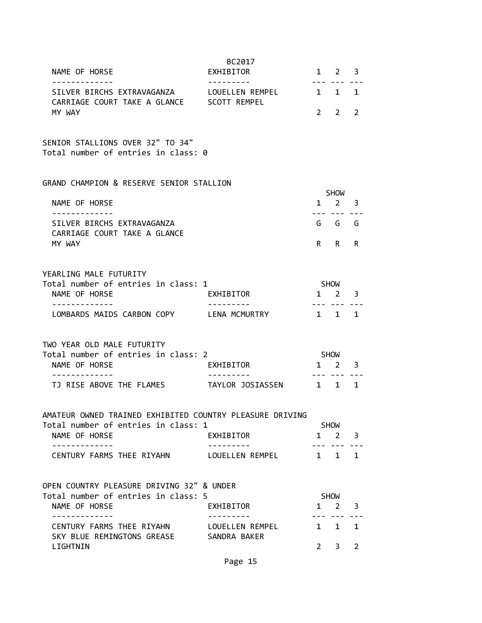| NAME OF HORSE<br>. <u>.</u>                                                                                      | BC2017<br>EXHIBITOR<br>- - - - - - - - -     |             | $1 \t2 \t3$                 |                |
|------------------------------------------------------------------------------------------------------------------|----------------------------------------------|-------------|-----------------------------|----------------|
| SILVER BIRCHS EXTRAVAGANZA LOUELLEN REMPEL<br>CARRIAGE COURT TAKE A GLANCE SCOTT REMPEL                          |                                              |             | $1 \quad 1 \quad 1$         |                |
| MY WAY                                                                                                           |                                              | $2^{\circ}$ | $2^{\circ}$                 | 2              |
| SENIOR STALLIONS OVER 32" TO 34"<br>Total number of entries in class: 0                                          |                                              |             |                             |                |
| GRAND CHAMPION & RESERVE SENIOR STALLION                                                                         |                                              |             |                             |                |
| NAME OF HORSE                                                                                                    |                                              |             | SHOW<br>$1 \quad 2 \quad 3$ |                |
| SILVER BIRCHS EXTRAVAGANZA<br>CARRIAGE COURT TAKE A GLANCE                                                       |                                              |             | G G G                       |                |
| MY WAY                                                                                                           |                                              |             | R R                         | R              |
| YEARLING MALE FUTURITY<br>Total number of entries in class: 1                                                    |                                              |             | SHOW                        |                |
| NAME OF HORSE<br>-----------                                                                                     | EXHIBITOR                                    |             | 1 2 3                       |                |
| LOMBARDS MAIDS CARBON COPY LENA MCMURTRY                                                                         |                                              |             | $1 \quad 1 \quad 1$         |                |
| TWO YEAR OLD MALE FUTURITY                                                                                       |                                              |             |                             |                |
| Total number of entries in class: 2<br>NAME OF HORSE                                                             | EXHIBITOR                                    | SHOW        | $1 \quad 2 \quad 3$         |                |
| ------------<br>TJ RISE ABOVE THE FLAMES                                                                         | . <u>- - - - - - -</u> -<br>TAYLOR JOSIASSEN |             | 1 1 1                       |                |
| AMATEUR OWNED TRAINED EXHIBITED COUNTRY PLEASURE DRIVING<br>Total number of entries in class: 1<br>NAME OF HORSE | EXHIBITOR                                    |             | SHOW<br>$1 \quad 2 \quad 3$ |                |
| -------------<br>CENTURY FARMS THEE RIYAHN                                                                       | ---------<br>LOUELLEN REMPEL                 |             | $1 \quad 1 \quad 1$         |                |
|                                                                                                                  |                                              |             |                             |                |
| OPEN COUNTRY PLEASURE DRIVING 32" & UNDER<br>Total number of entries in class: 5                                 |                                              |             | SHOW                        |                |
| NAME OF HORSE<br>-----------                                                                                     | EXHIBITOR                                    |             | $1 \quad 2 \quad 3$<br>     |                |
| CENTURY FARMS THEE RIYAHN LOUELLEN REMPEL<br>SKY BLUE REMINGTONS GREASE SANDRA BAKER                             |                                              |             | $1 \quad 1$                 | 1              |
| LIGHTNIN                                                                                                         |                                              | $2^{\circ}$ | 3 <sup>1</sup>              | $\overline{2}$ |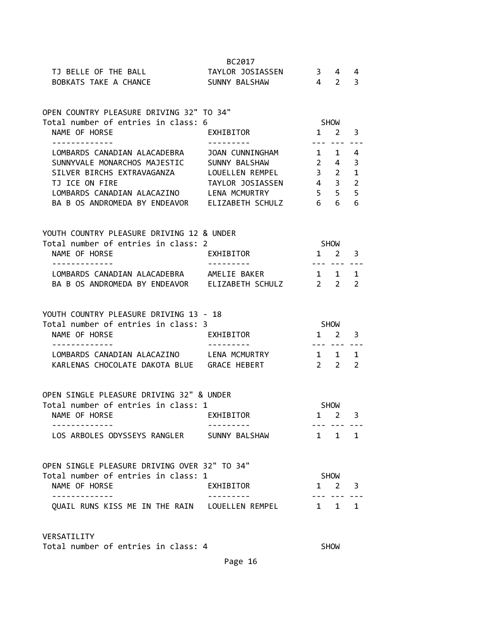|                                                      | BC2017                  |                           |                             |                |
|------------------------------------------------------|-------------------------|---------------------------|-----------------------------|----------------|
| TJ BELLE OF THE BALL                                 | TAYLOR JOSIASSEN 3 4    |                           |                             | 4              |
| BOBKATS TAKE A CHANCE SUNNY BALSHAW 4 2              |                         |                           |                             | 3              |
|                                                      |                         |                           |                             |                |
|                                                      |                         |                           |                             |                |
| OPEN COUNTRY PLEASURE DRIVING 32" TO 34"             |                         |                           |                             |                |
| Total number of entries in class: 6                  |                         | <b>SHOW</b>               |                             |                |
| NAME OF HORSE                                        | EXHIBITOR               | $1 \quad 2 \quad 3$       |                             |                |
| . <u>.</u>                                           |                         |                           | --- ---                     |                |
| LOMBARDS CANADIAN ALACADEBRA JOAN CUNNINGHAM 1 1     |                         |                           |                             | 4              |
| SUNNYVALE MONARCHOS MAJESTIC SUNNY BALSHAW 2 4       |                         |                           |                             | 3              |
| SILVER BIRCHS EXTRAVAGANZA LOUELLEN REMPEL 3 2       |                         |                           |                             | $\mathbf{1}$   |
| TJ ICE ON FIRE                                       | TAYLOR JOSIASSEN 4 3    |                           |                             | $\overline{2}$ |
| LOMBARDS CANADIAN ALACAZINO LENA MCMURTRY            |                         | $5\qquad 5$               |                             | 5              |
| BA B OS ANDROMEDA BY ENDEAVOR ELIZABETH SCHULZ 6 6   |                         |                           |                             | 6              |
|                                                      |                         |                           |                             |                |
|                                                      |                         |                           |                             |                |
| YOUTH COUNTRY PLEASURE DRIVING 12 & UNDER            |                         | <b>SHOW</b>               |                             |                |
| Total number of entries in class: 2                  |                         |                           |                             |                |
| NAME OF HORSE<br>-------------                       | EXHIBITOR<br>---------- | $1 \quad 2 \quad 3$       |                             |                |
| LOMBARDS CANADIAN ALACADEBRA AMELIE BAKER            |                         | ----------<br>$1 \quad 1$ |                             | 1              |
| BA B OS ANDROMEDA BY ENDEAVOR ELIZABETH SCHULZ 2 2   |                         |                           |                             | $\overline{2}$ |
|                                                      |                         |                           |                             |                |
|                                                      |                         |                           |                             |                |
|                                                      |                         |                           |                             |                |
| YOUTH COUNTRY PLEASURE DRIVING 13 - 18               |                         |                           |                             |                |
| Total number of entries in class: 3                  |                         |                           |                             |                |
| NAME OF HORSE                                        | EXHIBITOR               | <b>SHOW</b>               |                             | 3              |
| -----------                                          |                         | $1\quad 2$<br>$- - -$     | $- - -$                     |                |
| LOMBARDS CANADIAN ALACAZINO LENA MCMURTRY            |                         | 1 1 1                     |                             |                |
| KARLENAS CHOCOLATE DAKOTA BLUE GRACE HEBERT          |                         | $2\quad 2$                |                             | 2              |
|                                                      |                         |                           |                             |                |
|                                                      |                         |                           |                             |                |
| OPEN SINGLE PLEASURE DRIVING 32" & UNDER             |                         |                           |                             |                |
| Total number of entries in class: 1                  |                         |                           | <b>SHOW</b>                 |                |
| NAME OF HORSE                                        | EXHIBITOR               | 1                         | $\overline{2}$              | 3              |
|                                                      |                         |                           |                             |                |
| LOS ARBOLES ODYSSEYS RANGLER SUNNY BALSHAW           |                         |                           | $1 \quad 1 \quad 1$         |                |
|                                                      |                         |                           |                             |                |
|                                                      |                         |                           |                             |                |
| OPEN SINGLE PLEASURE DRIVING OVER 32" TO 34"         |                         |                           |                             |                |
| Total number of entries in class: 1<br>NAME OF HORSE | EXHIBITOR               |                           | SHOW<br>$1 \quad 2 \quad 3$ |                |
|                                                      |                         |                           |                             |                |
| QUAIL RUNS KISS ME IN THE RAIN LOUELLEN REMPEL       |                         |                           | 1 1                         | 1              |
|                                                      |                         |                           |                             |                |

VERSATILITY

Total number of entries in class: 4 SHOW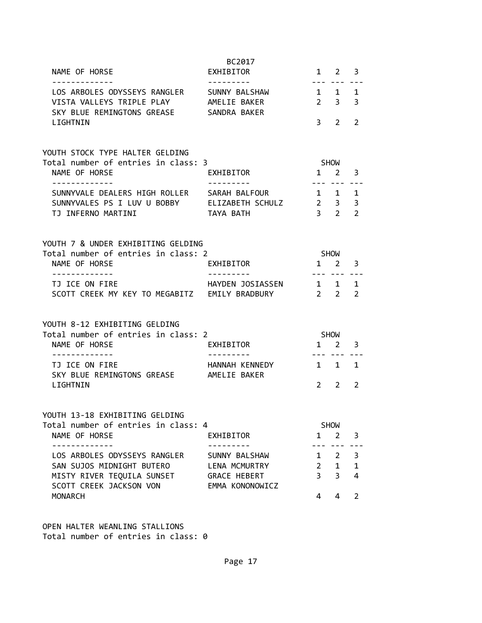|                                                                                                                       | BC2017                                                  |                     |                                    |                     |
|-----------------------------------------------------------------------------------------------------------------------|---------------------------------------------------------|---------------------|------------------------------------|---------------------|
| NAME OF HORSE<br>. <u>_ _ _ _ _ _ _ _ _ _ _</u> _                                                                     | EXHIBITOR<br>---------                                  |                     | $1 \t2 \t3$<br>--- ---             |                     |
| LOS ARBOLES ODYSSEYS RANGLER<br>VISTA VALLEYS TRIPLE PLAY<br>SKY BLUE REMINGTONS GREASE SANDRA BAKER                  | SUNNY BALSHAW<br>AMELIE BAKER                           | $2 \quad 3$         | $1 \quad 1$                        | 1<br>3              |
| LIGHTNIN                                                                                                              |                                                         | 3 <sup>7</sup>      | $\overline{2}$                     | $\overline{2}$      |
| YOUTH STOCK TYPE HALTER GELDING<br>Total number of entries in class: 3                                                |                                                         |                     | SHOW                               |                     |
| NAME OF HORSE<br>- - - - - - - - - - - - -                                                                            | EXHIBITOR                                               |                     | $1 \quad 2$                        | 3                   |
| SUNNYVALE DEALERS HIGH ROLLER SARAH BALFOUR<br>SUNNYVALES PS I LUV U BOBBY ELIZABETH SCHULZ 2 3<br>TJ INFERNO MARTINI | TAYA BATH                                               | ---                 | $1 \quad 1 \quad 1$<br>$3 \quad 2$ | 3<br>$\overline{2}$ |
| YOUTH 7 & UNDER EXHIBITING GELDING                                                                                    |                                                         |                     |                                    |                     |
| Total number of entries in class: 2                                                                                   |                                                         |                     | <b>SHOW</b>                        |                     |
| NAME OF HORSE<br>-------------                                                                                        | EXHIBITOR                                               | $1 \quad 2$         |                                    | 3                   |
| TJ ICE ON FIRE<br>SCOTT CREEK MY KEY TO MEGABITZ EMILY BRADBURY                                                       | HAYDEN JOSIASSEN 1 1                                    | $\frac{2}{2}$ 2     | --- --- ---                        | 1<br>$\overline{2}$ |
| YOUTH 8-12 EXHIBITING GELDING                                                                                         |                                                         |                     |                                    |                     |
| Total number of entries in class: 2<br>NAME OF HORSE                                                                  | EXHIBITOR                                               |                     | SHOW<br>$1 \quad 2$                | 3                   |
| -------------                                                                                                         | ----------                                              |                     | --- ---                            |                     |
| TJ ICE ON FIRE<br>SKY BLUE REMINGTONS GREASE AMELIE BAKER                                                             | HANNAH KENNEDY                                          | $1 \quad 1$         |                                    | 1                   |
| LIGHTNIN                                                                                                              |                                                         | $\mathcal{P}$       | $2^{\circ}$                        | 2                   |
| YOUTH 13-18 EXHIBITING GELDING                                                                                        |                                                         |                     |                                    |                     |
| Total number of entries in class: 4<br>NAME OF HORSE                                                                  | EXHIBITOR                                               |                     | SHOW<br>$1 \quad 2$                | 3                   |
| <u> - - - - - - - - - - -</u>                                                                                         |                                                         |                     | $- - -$                            |                     |
| LOS ARBOLES ODYSSEYS RANGLER<br>SAN SUJOS MIDNIGHT BUTERO                                                             | SUNNY BALSHAW                                           | $\mathbf{1}$        | $\overline{2}$                     | 3                   |
| MISTY RIVER TEQUILA SUNSET<br>SCOTT CREEK JACKSON VON                                                                 | LENA MCMURTRY<br><b>GRACE HEBERT</b><br>EMMA KONONOWICZ | 2<br>3 <sup>7</sup> | $\mathbf{1}$<br>$\overline{3}$     | $\mathbf{1}$<br>4   |
| <b>MONARCH</b>                                                                                                        |                                                         | 4                   | 4                                  | $\overline{2}$      |

OPEN HALTER WEANLING STALLIONS Total number of entries in class: 0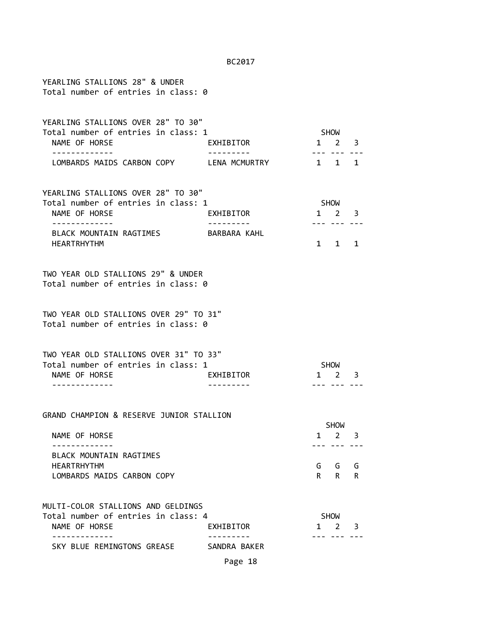| YEARLING STALLIONS 28" & UNDER<br>Total number of entries in class: 0                                                              |              |             |                                                                                                                                                                                                                                                                                                                                                                                                                  |             |
|------------------------------------------------------------------------------------------------------------------------------------|--------------|-------------|------------------------------------------------------------------------------------------------------------------------------------------------------------------------------------------------------------------------------------------------------------------------------------------------------------------------------------------------------------------------------------------------------------------|-------------|
| YEARLING STALLIONS OVER 28" TO 30"<br>Total number of entries in class: 1<br>NAME OF HORSE<br>. <u>.</u>                           | EXHIBITOR    |             | SHOW<br>$1 \quad 2 \quad 3$                                                                                                                                                                                                                                                                                                                                                                                      |             |
| LOMBARDS MAIDS CARBON COPY LENA MCMURTRY                                                                                           |              |             | $1 \quad 1$                                                                                                                                                                                                                                                                                                                                                                                                      | 1           |
| YEARLING STALLIONS OVER 28" TO 30"<br>Total number of entries in class: 1<br>NAME OF HORSE<br>BLACK MOUNTAIN RAGTIMES BARBARA KAHL | EXHIBITOR    |             | SHOW<br>$1 \quad 2 \quad 3$                                                                                                                                                                                                                                                                                                                                                                                      |             |
| <b>HEARTRHYTHM</b><br>TWO YEAR OLD STALLIONS 29" & UNDER<br>Total number of entries in class: 0                                    |              |             | 1 1 1                                                                                                                                                                                                                                                                                                                                                                                                            |             |
| TWO YEAR OLD STALLIONS OVER 29" TO 31"<br>Total number of entries in class: 0                                                      |              |             |                                                                                                                                                                                                                                                                                                                                                                                                                  |             |
| TWO YEAR OLD STALLIONS OVER 31" TO 33"<br>Total number of entries in class: 1<br>NAME OF HORSE                                     | EXHIBITOR    |             | SHOW<br>$1 \quad 2 \quad 3$                                                                                                                                                                                                                                                                                                                                                                                      |             |
| GRAND CHAMPION & RESERVE JUNIOR STALLION                                                                                           |              |             | <b>SHOW</b>                                                                                                                                                                                                                                                                                                                                                                                                      |             |
| NAME OF HORSE<br>BLACK MOUNTAIN RAGTIMES<br><b>HEARTRHYTHM</b><br>LOMBARDS MAIDS CARBON COPY                                       |              | 1<br>G<br>R | 2<br>G<br>R.                                                                                                                                                                                                                                                                                                                                                                                                     | 3<br>G<br>R |
| MULTI-COLOR STALLIONS AND GELDINGS<br>Total number of entries in class: 4<br>NAME OF HORSE<br>---------                            | EXHIBITOR    | 1           | <b>SHOW</b><br>2<br>$\frac{1}{2} \frac{1}{2} \frac{1}{2} \frac{1}{2} \frac{1}{2} \frac{1}{2} \frac{1}{2} \frac{1}{2} \frac{1}{2} \frac{1}{2} \frac{1}{2} \frac{1}{2} \frac{1}{2} \frac{1}{2} \frac{1}{2} \frac{1}{2} \frac{1}{2} \frac{1}{2} \frac{1}{2} \frac{1}{2} \frac{1}{2} \frac{1}{2} \frac{1}{2} \frac{1}{2} \frac{1}{2} \frac{1}{2} \frac{1}{2} \frac{1}{2} \frac{1}{2} \frac{1}{2} \frac{1}{2} \frac{$ | 3           |
| SKY BLUE REMINGTONS GREASE                                                                                                         | SANDRA BAKER |             |                                                                                                                                                                                                                                                                                                                                                                                                                  |             |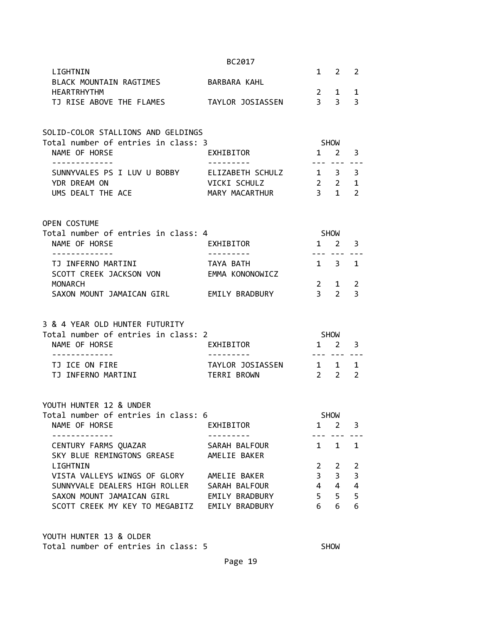|                                                                       | BC2017                 |                     |              |                |
|-----------------------------------------------------------------------|------------------------|---------------------|--------------|----------------|
| LIGHTNIN                                                              |                        |                     | $1 \quad 2$  | 2              |
| BLACK MOUNTAIN RAGTIMES BARBARA KAHL                                  |                        |                     |              |                |
| <b>HEARTRHYTHM</b>                                                    |                        | $2 \quad 1$         |              | 1              |
| TJ RISE ABOVE THE FLAMES TAYLOR JOSIASSEN 3 3                         |                        |                     |              | 3              |
| SOLID-COLOR STALLIONS AND GELDINGS                                    |                        |                     |              |                |
| Total number of entries in class: 3                                   |                        | <b>SHOW</b>         |              |                |
| NAME OF HORSE<br>-------------                                        | EXHIBITOR              | $1\quad 2$          | --- --- ---  | 3              |
| SUNNYVALES PS I LUV U BOBBY ELIZABETH SCHULZ 1 3                      |                        |                     |              | 3              |
| YDR DREAM ON                                                          | VICKI SCHULZ           | $2 \quad 2 \quad 1$ |              |                |
| UMS DEALT THE ACE                                                     | MARY MACARTHUR         | $\overline{3}$ 1    |              | $\overline{2}$ |
| OPEN COSTUME                                                          |                        |                     |              |                |
| Total number of entries in class: 4                                   |                        | SHOW                |              |                |
| NAME OF HORSE                                                         | EXHIBITOR              | 1 2 3               |              |                |
| -------------                                                         | <u>---------</u>       |                     | -------      |                |
| TJ INFERNO MARTINI                                                    | TAYA BATH              | $1 \quad 3 \quad 1$ |              |                |
| SCOTT CREEK JACKSON VON                                               | EMMA KONONOWICZ        |                     |              |                |
| MONARCH                                                               |                        |                     | $2 \quad 1$  | $\overline{2}$ |
| SAXON MOUNT JAMAICAN GIRL EMILY BRADBURY                              |                        | 3 <sub>2</sub>      |              | 3              |
|                                                                       |                        |                     |              |                |
| 3 & 4 YEAR OLD HUNTER FUTURITY<br>Total number of entries in class: 2 |                        | <b>SHOW</b>         |              |                |
| NAME OF HORSE                                                         | EXHIBITOR              | $1 \quad 2 \quad 3$ |              |                |
|                                                                       |                        |                     |              |                |
| TJ ICE ON FIRE                                                        | TAYLOR JOSIASSEN 1 1 1 |                     |              |                |
| TJ INFERNO MARTINI                                                    | TERRI BROWN            | $2\quad 2$          |              | $\overline{2}$ |
|                                                                       |                        |                     |              |                |
| YOUTH HUNTER 12 & UNDER                                               |                        |                     |              |                |
| Total number of entries in class: 6                                   |                        |                     | <b>SHOW</b>  |                |
| NAME OF HORSE                                                         | EXHIBITOR              |                     | $1 \quad 2$  | 3              |
|                                                                       | SARAH BALFOUR          | 1                   | $\mathbf{1}$ | $\mathbf{1}$   |
| CENTURY FARMS QUAZAR<br>SKY BLUE REMINGTONS GREASE                    | AMELIE BAKER           |                     |              |                |
| LIGHTNIN                                                              |                        | $2^{\circ}$         | 2            | $\overline{2}$ |
| VISTA VALLEYS WINGS OF GLORY                                          | AMELIE BAKER           | 3 <sup>7</sup>      | 3            | 3              |
| SUNNYVALE DEALERS HIGH ROLLER                                         | SARAH BALFOUR          | $4 \quad 4$         |              | 4              |
| SAXON MOUNT JAMAICAN GIRL                                             | EMILY BRADBURY         | $5 -$               | 5            | 5              |
| SCOTT CREEK MY KEY TO MEGABITZ EMILY BRADBURY                         |                        | 6                   | 6            | 6              |
|                                                                       |                        |                     |              |                |

YOUTH HUNTER 13 & OLDER Total number of entries in class: 5 SHOW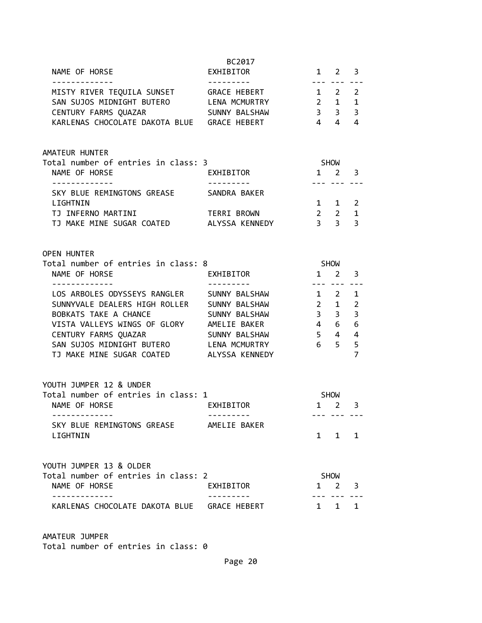| NAME OF HORSE                                                                                                                                                                                                                                                                                   | BC2017<br>EXHIBITOR                        |                                                                                                 | $1 \quad 2 \quad 3$                     |                                                                                     |
|-------------------------------------------------------------------------------------------------------------------------------------------------------------------------------------------------------------------------------------------------------------------------------------------------|--------------------------------------------|-------------------------------------------------------------------------------------------------|-----------------------------------------|-------------------------------------------------------------------------------------|
| MISTY RIVER TEQUILA SUNSET GRACE HEBERT<br>SAN SUJOS MIDNIGHT BUTERO LENA MCMURTRY<br>CENTURY FARMS QUAZAR<br>KARLENAS CHOCOLATE DAKOTA BLUE GRACE HEBERT                                                                                                                                       | ---------<br>SUNNY BALSHAW                 | $1 \quad 2 \quad 2$<br>$\begin{array}{cccc} 2 & 1 & 1 \\ 3 & 3 & 3 \\ 4 & 4 & 4 \end{array}$    | --- ---                                 |                                                                                     |
| AMATEUR HUNTER<br>Total number of entries in class: 3<br>NAME OF HORSE                                                                                                                                                                                                                          | EXHIBITOR                                  |                                                                                                 | SHOW<br>$1 \quad 2 \quad 3$             |                                                                                     |
| SKY BLUE REMINGTONS GREASE SANDRA BAKER<br>LIGHTNIN<br>TJ INFERNO MARTINI<br>TJ MAKE MINE SUGAR COATED ALYSSA KENNEDY                                                                                                                                                                           | TERRI BROWN                                | $1 \quad 1 \quad 2$<br>$2\quad 2$<br>3 <sup>3</sup>                                             | --- ---                                 | $\mathbf 1$<br>$\overline{3}$                                                       |
| <b>OPEN HUNTER</b><br>Total number of entries in class: 8<br>NAME OF HORSE                                                                                                                                                                                                                      | EXHIBITOR                                  | $1 \quad 2$                                                                                     | SHOW                                    | 3                                                                                   |
| -------------<br>LOS ARBOLES ODYSSEYS RANGLER SUNNY BALSHAW<br>SUNNYVALE DEALERS HIGH ROLLER SUNNY BALSHAW<br>BOBKATS TAKE A CHANCE<br>VISTA VALLEYS WINGS OF GLORY AMELIE BAKER<br>CENTURY FARMS QUAZAR<br>SAN SUJOS MIDNIGHT BUTERO LENA MCMURTRY<br>TJ MAKE MINE SUGAR COATED ALYSSA KENNEDY | --------<br>SUNNY BALSHAW<br>SUNNY BALSHAW | $1\quad 2$<br>$2 \quad 1$<br>$\begin{array}{cc}\n4 & 6 \\ 5 & 4\n\end{array}$<br>6 <sub>5</sub> | --- --- ---<br>$3 \quad 3$              | 1<br>$\overline{2}$<br>$\overline{3}$<br>6<br>$\overline{4}$<br>5<br>$\overline{7}$ |
| YOUTH JUMPER 12 & UNDER<br>Total number of entries in class: 1<br>NAME OF HORSE<br>SKY BLUE REMINGTONS GREASE                                                                                                                                                                                   | EXHIBITOR<br>AMELIE BAKER                  |                                                                                                 | <b>SHOW</b><br>$1 \quad 2$              | 3                                                                                   |
| LIGHTNIN<br>YOUTH JUMPER 13 & OLDER<br>Total number of entries in class: 2<br>NAME OF HORSE                                                                                                                                                                                                     | EXHIBITOR                                  | 1                                                                                               | $1 \quad 1 \quad 1$<br><b>SHOW</b><br>2 | 3                                                                                   |
| KARLENAS CHOCOLATE DAKOTA BLUE GRACE HEBERT                                                                                                                                                                                                                                                     |                                            | $\mathbf{1}$                                                                                    | $\mathbf{1}$                            | $\mathbf{1}$                                                                        |

AMATEUR JUMPER Total number of entries in class: 0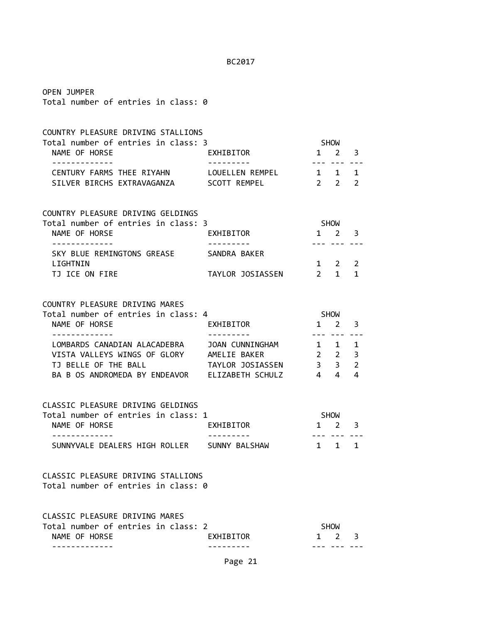| <b>OPEN JUMPER</b><br>Total number of entries in class: 0                                                                                                                                                                    |                        |                                                 |                                    |   |  |
|------------------------------------------------------------------------------------------------------------------------------------------------------------------------------------------------------------------------------|------------------------|-------------------------------------------------|------------------------------------|---|--|
| COUNTRY PLEASURE DRIVING STALLIONS<br>Total number of entries in class: 3<br>EXHIBITOR<br>NAME OF HORSE<br>- - - - - - - - - - - - -                                                                                         |                        | SHOW<br>$1 \quad 2 \quad 3$                     | --- --- ---                        |   |  |
| CENTURY FARMS THEE RIYAHN LOUELLEN REMPEL 1 1 1<br>SILVER BIRCHS EXTRAVAGANZA SCOTT REMPEL 2 2 2 2                                                                                                                           |                        |                                                 |                                    |   |  |
| COUNTRY PLEASURE DRIVING GELDINGS<br>Total number of entries in class: 3<br>NAME OF HORSE<br>.                                                                                                                               | EXHIBITOR              | SHOW<br>$1 \quad 2 \quad 3$<br><u>--- --- -</u> |                                    |   |  |
| SKY BLUE REMINGTONS GREASE SANDRA BAKER<br>LIGHTNIN<br>TJ ICE ON FIRE                                                                                                                                                        | TAYLOR JOSIASSEN 2 1 1 | $1 \quad 2 \quad 2$                             |                                    |   |  |
| COUNTRY PLEASURE DRIVING MARES<br>Total number of entries in class: 4<br>EXHIBITOR<br>NAME OF HORSE                                                                                                                          |                        |                                                 | <b>SHOW</b><br>$1 \quad 2 \quad 3$ |   |  |
| . <u>.</u> .<br>LOMBARDS CANADIAN ALACADEBRA JOAN CUNNINGHAM 1 1 1<br>VISTA VALLEYS WINGS OF GLORY AMELIE BAKER 2 2 3<br>1J BELLE OF THE BALL TAYLOR JOSIASSEN 3 3 2<br>BA B OS ANDROMEDA BY ENDEAVOR ELIZABETH SCHULZ 4 4 4 |                        |                                                 | --- --- -- <u>.</u>                |   |  |
| CLASSIC PLEASURE DRIVING GELDINGS<br>Total number of entries in class: 1<br>NAME OF HORSE<br>------------<br>SUNNYVALE DEALERS HIGH ROLLER SUNNY BALSHAW                                                                     | EXHIBITOR              | SHOW<br>$1 \quad 2 \quad 3$<br>$1 \quad$        | --- --- ---<br>$\mathbf{1}$        | 1 |  |
| CLASSIC PLEASURE DRIVING STALLIONS<br>Total number of entries in class: 0                                                                                                                                                    |                        |                                                 |                                    |   |  |
| CLASSIC PLEASURE DRIVING MARES<br>Total number of entries in class: 2<br>NAME OF HORSE                                                                                                                                       | EXHIBITOR              | $\mathbf{1}$                                    | SHOW<br>$2^{\circ}$                | 3 |  |

Page 21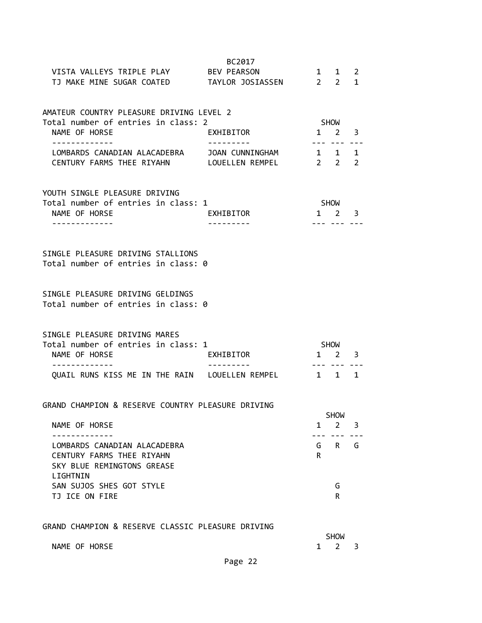| VISTA VALLEYS TRIPLE PLAY<br>TJ MAKE MINE SUGAR COATED TAYLOR JOSIASSEN 22                                                    | BC2017<br>BEV PEARSON |                                        | 1 1                         | $\overline{2}$<br>$\mathbf{1}$ |  |  |  |
|-------------------------------------------------------------------------------------------------------------------------------|-----------------------|----------------------------------------|-----------------------------|--------------------------------|--|--|--|
| AMATEUR COUNTRY PLEASURE DRIVING LEVEL 2<br>Total number of entries in class: 2                                               |                       |                                        |                             | <b>SHOW</b>                    |  |  |  |
| NAME OF HORSE                                                                                                                 | EXHIBITOR             |                                        | $1 \quad 2$                 | 3                              |  |  |  |
| . <u>_ _ _ _ _ _ _ _ _ _ _</u> _<br>LOMBARDS CANADIAN ALACADEBRA JOAN CUNNINGHAM<br>CENTURY FARMS THEE RIYAHN LOUELLEN REMPEL |                       | $- - - -$<br>$1 \quad 1$<br>$2\quad 2$ |                             | 1<br>2                         |  |  |  |
| YOUTH SINGLE PLEASURE DRIVING<br>Total number of entries in class: 1<br>NAME OF HORSE<br>. <u>- - - - - - - - - - -</u> -     | EXHIBITOR             |                                        | SHOW<br>$1 \quad 2 \quad 3$ |                                |  |  |  |
| SINGLE PLEASURE DRIVING STALLIONS<br>Total number of entries in class: 0                                                      |                       |                                        |                             |                                |  |  |  |
| SINGLE PLEASURE DRIVING GELDINGS<br>Total number of entries in class: 0                                                       |                       |                                        |                             |                                |  |  |  |
| SINGLE PLEASURE DRIVING MARES<br>Total number of entries in class: 1<br>NAME OF HORSE                                         | EXHIBITOR             | <b>SHOW</b>                            | $1 \quad 2$                 | 3                              |  |  |  |
| QUAIL RUNS KISS ME IN THE RAIN LOUELLEN REMPEL                                                                                |                       | $1 \quad 1$                            |                             | 1                              |  |  |  |
| GRAND CHAMPION & RESERVE COUNTRY PLEASURE DRIVING                                                                             |                       |                                        | <b>SHOW</b>                 |                                |  |  |  |
| NAME OF HORSE                                                                                                                 |                       | $\mathbf{1}$                           | $2^{\circ}$                 | 3                              |  |  |  |
| LOMBARDS CANADIAN ALACADEBRA<br>CENTURY FARMS THEE RIYAHN<br>SKY BLUE REMINGTONS GREASE                                       |                       | R.                                     | G R                         | G                              |  |  |  |
| LIGHTNIN<br>SAN SUJOS SHES GOT STYLE<br>TJ ICE ON FIRE                                                                        |                       |                                        | G<br>$\mathsf{R}$           |                                |  |  |  |
| GRAND CHAMPION & RESERVE CLASSIC PLEASURE DRIVING                                                                             |                       |                                        | <b>SHOW</b>                 |                                |  |  |  |
| NAME OF HORSE                                                                                                                 |                       | 1                                      | $\mathbf{2}$                | 3                              |  |  |  |